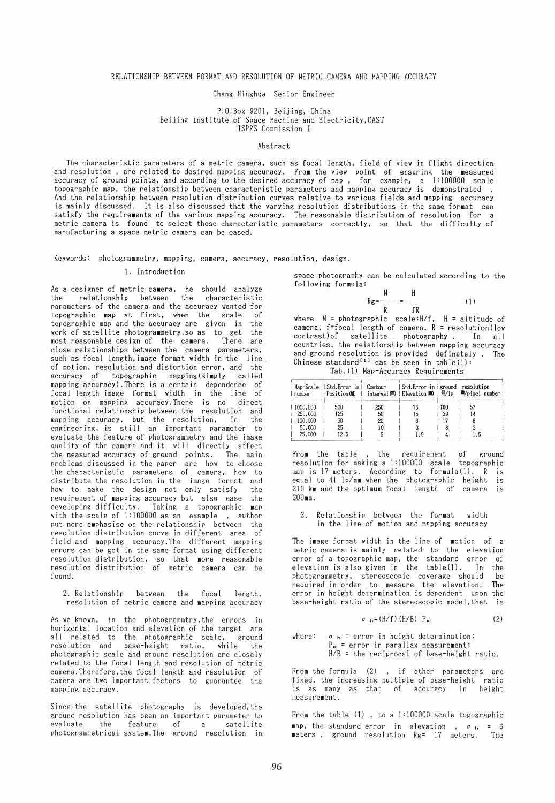Chang Ninghya Senior Engineer

### P.O.Box 9201, Beijing. China Beijing Institute of Space Machine and Electricity, CAST ISPRS Commission I

#### Abstract

The characteristic parameters of a metric camera, such as focal length, field of view in flight direction and resolution, are related to desired mapping accuracy. From the view point of ensuring the measured accuracy of ground points, and according to the desired accuracy of map., for example, a 1:100000 scale topographic map, the relationship between characteristic parameters and mapping accuracy is demonstrated. And the relationship between resolution distribution eurves relative to various fields and mapping aeeuraey is mainly diseussed. It is also diseussed that the varying resolution distributions in the same format ean satisfy the requirements of the various mapping accuracy. The reasonable distribution of resolution for a metrie eamera is found to seleet these eharaeteristie parameters eorreetly, so that the diffieulty of manufaeturing aspace metrie eamera ean be eased.

Keywords: photogrammetry, mapping. eamera, aeeuraey, resolution. design.

## 1. Introduetion

As a designer of metrie eamera. he should analyze the relationship between the eharaeteristie parameters of the eamera and the aeeuraey wanted for topographie map at first, when the seale of topographie map and the aeeuraey are given in the work of satellite photogrammetry,so as to get the most reasonable design of the eamera. There are elose relationships between the eamera parameters, such as foeal length, image format width in the line of motion. resolution and distortion error. and the accuracy of topographic mapping(simply called mapping aeeuraey).There is a eertain dependenee of foeal length image format width in the line of motion on mapping aeeuraey.There is no direet funetional relationship between the resolution and mapping aeeuraey. but the resolution. in the engineering, is still an important parameter to evaluate the feature of photogrammetry and the image quality of the camera and it will directly affect the measured aeeuraey of ground points. The main problems diseussed in the paper are how to ehoose the eharaeteristie parameters of eamera. how to distribute the resolution in the image format and how to make the design not only satisfy the requirement of mapping accuracy but also ease the developing diffieulty. Taking a topographie map with the scale of  $1:100000$  as an example, author put more emphasise on the relationship between the resolution distribution eurve in different area of field and mapping aeeuracy.The different mapping errors ean be got in the same format using different resolution distribution. so that more reasonable resolution distribution of metrie camera ean be found.

2. Relationship between the foeal length. resolution of metrie eamera and mapping aeeuraey

As we known. in the photogrammtry. the errors in horizontal Ioeation and elevation of the target are all related to the photographic scale, ground resolution and base-height ratio. while the photographie seale and ground resolution are elosely related to the foeal length and resolution of metrie eamera.Therefore.the foeal length and resolution of eamera are two important faetors to guarantee the mapping aecuraey.

Since the satellite photography is developed, the ground resolution has been an important parameter to<br>evaluate the feature of a satellite feature of a satellite photogrammetrical system.The ground resolution in space photography can be calculated according to the following formula:

$$
Rg = \frac{M}{R} = \frac{H}{fR}
$$
 (1)

where  $M = photographic scale:H/f$ ,  $H = altitude of$ camera.  $f=focal$  length of camera.  $R = resolution(low)$ contrast)of satellite photography. In all countries. the relationship between mapping accuraey and ground resolution is provided definately. The Chinese standard<sup>[1]</sup> can be seen in table(1):

| Tab. (1) Map-Accuracy Requirements |  |
|------------------------------------|--|
|------------------------------------|--|

| l number            | Map-Scale   Std. Error in   Contour |           | Std. Error in   ground resolution |           | Position(11)   interval(111)   Elevation(111)   即/lp   即/pixel number |
|---------------------|-------------------------------------|-----------|-----------------------------------|-----------|-----------------------------------------------------------------------|
| 1000,000<br>250,000 | 500<br>125                          | 250<br>50 | 75<br>15                          | 160<br>39 | 57                                                                    |
| 100,000             | 50                                  | 20        |                                   |           |                                                                       |
| 50,000              | 25                                  | រេ        |                                   |           |                                                                       |
| 25.000              | 12.5                                |           | 15                                |           |                                                                       |

From the table, the requirement of ground resolution for making a 1:100000 seale topographie map is 17 meters. Aceording to formula(l). R is equal to 41 jp/mm when the photographie height is 210 km and the optimum focal length of camera is 300mm.

3. Relationship between the format width in the line of motion and mapping accuracy

The image format width in the line of motion of a metric camera is mainly related to the elevation error of a topographie map. the standard error of elevation is also given in the table(1). In the<br>photogrammetry, stereoscopic coverage should be photogrammetry, stereoscopic coverage should required in order to measure the elevation. The error in height determination is dependent upon the base-height ratio of the stereoscopie model,that is

$$
\sigma_{h} = (H/f) (H/B) P_{\mathbf{x}} \tag{2}
$$

where:  $\sigma$ <sub>h</sub> = error in height determination;  $P_x$  = error in parallax measurement; *H/B* = the reeiproeal of base-height ratio.

From the formula (2), if other parameters are fixed. the inereasing multiple of base-height ratio is as many as that of aecuraey in height measurement.

From the table  $(1)$ , to a 1:100000 scale topographic map, the standard error in elevation ,  $\sigma$ <sub>h</sub> = 6 meters. ground resolution Rg= 17 meters. The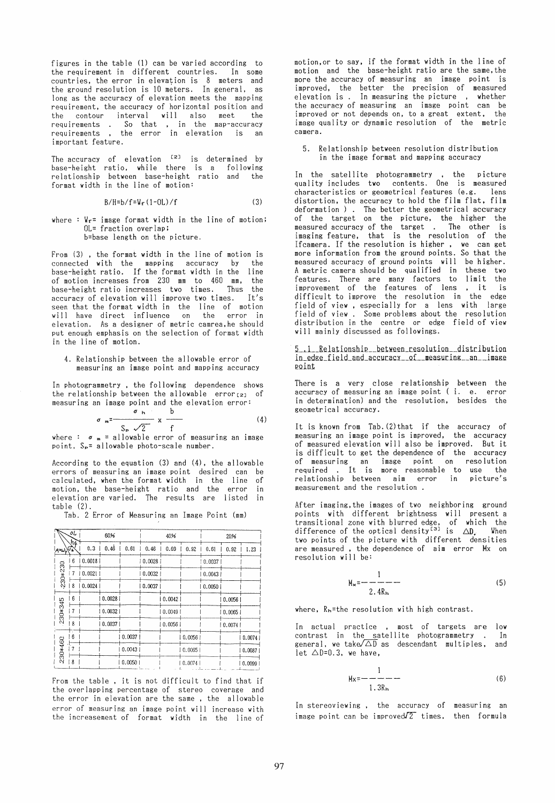figures in the table (1) can be varied according to the requirement in different countries. In some countries. the error in elevation is 8 meters and the ground resolution is 10 meters. In general, as long as the accuracy of elevation meets the mapping requirement, the accuracy of horizontal position and the contour interval will also meet the requirements . So that , in the map-accuracy requirements, the error in elevation is an important feature.

The accuracy of elevation  $[2]$  is determined by base-height ratio, while there is a following relationship between base-height ratio and the format width in the line of motion:

$$
B/H = b/f = \Psi_r (1 - 0L) / f
$$
 (3)

where :  $V_f$ = image format width in the line of motion; OL= fraction overlap: b=base length on the picture.

From (3), the format width in the line of motion is connected with the mapping accuracy by the base-height ratio. If the format width in the line of motion increases from 230 mm to 460 mm, the base-height ratio increases two times. Thus the accuracy of elevation will improve two times. It's seen that the format width in the line of motion<br>will have direct influence on the error in will have direct influence on the elevation. As a designer of metric camrea.he should put enough emphasis on the selection of format width in the line of motion.

4. Relationship between the allowable error of measuring an image point and mapping accuracy

In photogrammetry , the following dependence shows the relationship between the allowable error $_{[2]}$  of

measuring an image point and the elevation error:  
\n
$$
\sigma_{m} = \frac{\sigma_{n}}{S_{p} \sqrt{2}} \times \frac{b}{f}
$$
\nwhere :  $\sigma_{m}$  = allowable error of measuring an image

point,  $S_{p}$ = allowable photo-scale number.

According to the equation (3) and (4), the al10wable errors of measuring an image point desired can be calculated, when the format width in the line of motion. the base-height ratio and the error in elevation are varied. The results are listed in table (2).

Tab. 2 Error of Measuring an Image Point (mm)

|                          | ٥L  |        | 60%    |         |        | 4096   |         | 20%     |        |        |  |  |  |  |
|--------------------------|-----|--------|--------|---------|--------|--------|---------|---------|--------|--------|--|--|--|--|
| $4\pi\omega_{100}^{3/2}$ |     | 0.3    | 0.46   | 0.61    | 0.46   | 0.69   | 0.92    | 0.61    | 0.92   | 1.23   |  |  |  |  |
|                          | 6   | 0.0018 |        |         | 0.0028 |        |         | 0.0037  |        |        |  |  |  |  |
| $230*230$                | 7   | 0.0021 |        |         | 0.0032 |        |         | 0.0043  |        |        |  |  |  |  |
|                          | l 8 | 0.0024 |        |         | 0.0037 |        |         | 0.00501 |        |        |  |  |  |  |
|                          | 6   |        | 0.0028 |         |        | 0.0042 |         |         | 0.0056 |        |  |  |  |  |
| 230*345                  | 7   |        | 0.0032 |         |        | 0.0049 |         |         | 0,0065 |        |  |  |  |  |
|                          | 18  |        | 0.0037 |         |        | 0.0056 |         |         | 0.0074 |        |  |  |  |  |
|                          | 6   |        |        | 0.0037  |        |        | 0,0056  |         |        | 0.0074 |  |  |  |  |
| 230*460                  |     |        |        | 0.00431 |        |        | 0.0065  |         |        | 0.0087 |  |  |  |  |
|                          | 8   |        |        | 0.0050  |        |        | 10.0074 |         |        | 0.0099 |  |  |  |  |

From the table, it is not difficult to find that if the overlapping percentage of stereo coverage and the error in elevation are the same, the allowable error of measuring an image point will increase with the increasement of format width in the line of motion,or to say. if the format width in the line of motion and the base-height ratio are the same, the more the accuracy of measuring an image point is improved, the better the precision of measured elevation is. In measuring the picture , whether the accuracy of measuring an image point can be improved or not depends on, to a great extent. the image quality or dynamic resolution of the metric camera.

5. Relationship between resolution distribution in the image format and mapping accuracy

In the satellite photogrammetry , the picture quality ineludes two contents. One is measured characteristies or geometrical features (e.g. lens distortion, the accuracy to hold the film flat. film deformation). The better the geometrical accuracy of the target on the pieture, the higher the measured accuracy of the target . The other is imaging feature, that is the resolution of the Ifcamera. If the resolution is higher. we can get more information from the ground points. So that the measured accuracy of ground points will be higher. A metric camera should be qualified in these two features. There are many faetors to limit the improvement of the features of lens it is difficult to improve the resolution in the edge field of view, especially for a lens with large field of view. Some problems about the resolution distribution in the centre or edge field of view will mainly diseussed as followings.

5\_11\_Relationship \_\_ between\_resolution \_\_distribution in\_edge\_field\_and\_accuracy \_\_ of \_\_ weasuring \_\_ an \_\_ image point

There is a very close relationship between the accuraey of measuring an image point (i. e. error in determination) and the resolution, besides the geometrical aeeuraey.

It is known from Tab. (2) that if the accuracy of measuring an image point is improved, the accuracy of measured elevation will also be improved. But it is diffieult to get the dependence of the accuracy of measuring an image point on resolution<br>required . It is more reasonable to use the relationship between aim error in picture's measurement and the resolution.

After imaging,the images of two neighboring ground points with different brightness will present a transitional zone with blurred edge, of which the difference of the optical density<sup>[3]</sup> is  $\triangle D$ . When two points of the picture with different densities are measured , the dependence of aim error Mx on resolution will be:

$$
M_{\mathbf{x}} = -\frac{1}{2.4R_{\rm h}} \tag{5}
$$

where, Rh=the resolution with high eontrast.

In aetual practice , most of targets are low contrast in the satellite photogrammetry. In general, we take  $\overline{\triangle D}$  as descendant multiples, and let  $\triangle D=0.3$ , we have,

$$
H_X = -\frac{1}{1 \cdot 3R_h}
$$
 (6)

In stereoviewing, the accuracy of measuring an image point can be improved $72^-$  times, then formula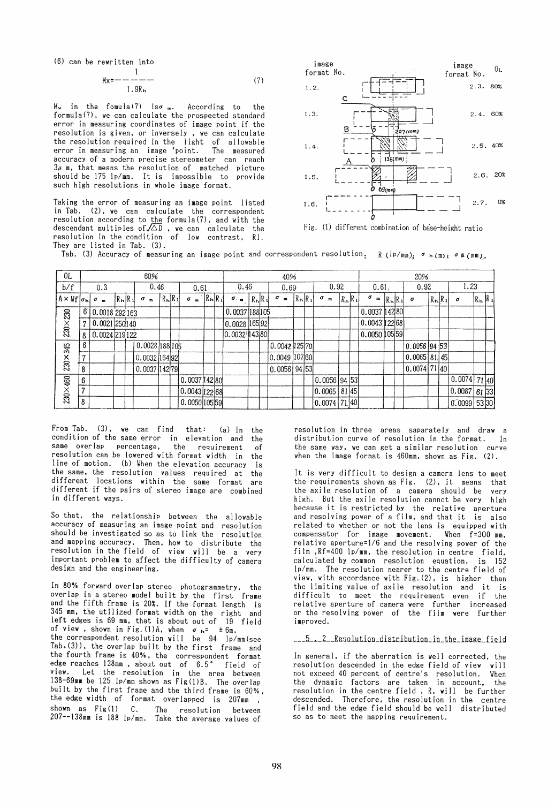(6) can be rewritten into

1

$$
M_X = \frac{1}{1.9R_h}
$$
 (7)

 $M_{\star}$  in the fomula(7) is $\sigma$  m. According to the formula(7), we can calculate the prospected standard error in measuring coordinates of image point if the resolution is given, or inversely , we can calculate the resolution required in the light of allowable error in measuring an image <point. The measured accuracy of a modern precise stereometer can reach  $3\mu$  m, that means the resolution of matched picture should be 175 lp/mm. It is impossible to provide such high resolutions in whole image format.

Taking the error of measuring an image point listed in Tab. (2), we can calculate the correspondent resolution according to <u>the</u> formula(7), and with the descendant multiples of $\sqrt{\triangle} \mathbb{D}$  , we can-calculate the resolution in the condition of low contrast. RI. They are listed in Tab. (3).



Fig. different combination of bäse-height ratio

Tab. (3) Accuracy of measuring an image point and correspondent resolution<sub>:</sub> R ( $\ln / \text{mm}$ );  $\sigma$   $h(m)$ ;  $\sigma$  m (mm).

| 0 <sub>L</sub>          | 60%          |                     |            |  |                |              |                         |  | 40%           |   |                 |  |                   |             |  |               |              |              | 20% |                   |       |                 |                              |           |  |                |  |                   |                |                      |  |
|-------------------------|--------------|---------------------|------------|--|----------------|--------------|-------------------------|--|---------------|---|-----------------|--|-------------------|-------------|--|---------------|--------------|--------------|-----|-------------------|-------|-----------------|------------------------------|-----------|--|----------------|--|-------------------|----------------|----------------------|--|
| b/f                     | 0.3<br>0.46  |                     |            |  | 0.61           |              |                         |  | 0.46          |   | 0.69            |  |                   | 0.92        |  |               | 0.61         |              |     | 0.92              |       |                 | 1.23                         |           |  |                |  |                   |                |                      |  |
| $A \times Vf[\sigma_h]$ |              | σ<br>$\blacksquare$ | $R_h R_1 $ |  | σ              | $\mathbf{m}$ | $R_{\rm h}$ $R_{\rm h}$ |  | σ             | m | $R_{h}$ $R_{1}$ |  | $\sigma_{\rm em}$ | $R_h$ $R_1$ |  | σ             | $\mathbf{m}$ | $R_{h}R_{1}$ |     | σ<br>$\mathbf{m}$ |       | $R_{h}$ $R_{1}$ | σ<br>$\overline{\mathbf{m}}$ | $R_h R_1$ |  | $\sigma$       |  | $R_{\rm h}$ $R_1$ | $\sigma$       | $R_{\rm h}R_{\rm l}$ |  |
|                         | 61           | 0.0018 292 163      |            |  |                |              |                         |  |               |   |                 |  | 0.0037188105      |             |  |               |              |              |     |                   |       |                 | 0.003714280                  |           |  |                |  |                   |                |                      |  |
| $230\times230$          | $\mathbf{r}$ | $0.0021$ 250140     |            |  |                |              |                         |  |               |   |                 |  | 10.0028 165 92    |             |  |               |              |              |     |                   |       |                 | 0.0043 122 68                |           |  |                |  |                   |                |                      |  |
|                         | 8            | 0.0024 219 122      |            |  |                |              |                         |  |               |   |                 |  | 0.0032 143 80     |             |  |               |              |              |     |                   |       |                 | 10.0050 105 59               |           |  |                |  |                   |                |                      |  |
|                         | 6            |                     |            |  | 0.0028 188 105 |              |                         |  |               |   |                 |  |                   |             |  | 0.0042 125 70 |              |              |     |                   |       |                 |                              |           |  | $0.0056$ 94 53 |  |                   |                |                      |  |
| 230×345                 | $\mathbf{r}$ |                     |            |  | 0.0032 164 92  |              |                         |  |               |   |                 |  |                   |             |  | 0.0049        |              | 107601       |     |                   |       |                 |                              |           |  | 0.0065 81 45   |  |                   |                |                      |  |
|                         | 8            |                     |            |  | 0.0037 142 79  |              |                         |  |               |   |                 |  |                   |             |  | 10.0056 94 53 |              |              |     |                   |       |                 |                              |           |  | $0.0074$ 71 40 |  |                   |                |                      |  |
|                         | 6            |                     |            |  |                |              |                         |  | 0.0037 142 80 |   |                 |  |                   |             |  |               |              |              |     | 0.0056 94 53      |       |                 |                              |           |  |                |  |                   | 0.0074         | 71 40                |  |
| 230×460                 | 7            |                     |            |  |                |              |                         |  | 0.0043 122 68 |   |                 |  |                   |             |  |               |              |              |     | 0.0065            | 81 45 |                 |                              |           |  |                |  |                   | 0.0087 61 33   |                      |  |
|                         | 8            |                     |            |  |                |              |                         |  | 0.0050 105 59 |   |                 |  |                   |             |  |               |              |              |     | 0.0074 71 40      |       |                 |                              |           |  |                |  |                   | $0.0099$ 53 30 |                      |  |

From Tab. (3), we can find that: (a) In the condition of the same error in elevation and the same overlap percentage. the requirement of resolution can be lowered with format width in the line of motion. (b) When the elevation accuracy is the same. the resolution values required at the different locations within the same format are different if the pairs of stereo image are combined in different ways.

So that. the relationship between the allowable accuracy of measuring an image point and resolution should be investigated so as to link the resolution and mapping accuracy. Then. how to distribute the resolution in the field of view will be a very important problem to affect the difficulty of camera design and the engineering.

In 80% forward over lap stereo photogrammetry, the overlap in a stereo model built by the first frame and the fifth frame is 20%. If the format length is 345 mm. the utilized format width on the right and left edges is  $69$  mm, that is about out of of view , shown in Fig.(1)A, when  $\sigma$   $_{\sf h}$ =  $\pm$  6m, the correspondent resolution will be 94 lp/mm(see Tab.(3)), the overlap built by the first frame and the fourth frame is 40%. the correspondent format edge reaches 138mm, about out of 6.5° field of view. Let the resolution in the area between 138-69mm be 125 lp/mm shown as Fig(I)B. The overlap built by the first frame and the third frame is 60%, the edge width of format overlapped is 207mm ,<br>shown as Fig(1) C. The resolution between The resolution between 207--138mm is 188 lp/mm. Take the average values of

resolution in three areas saparately and draw a distribution curve of resolution in the format. In when the image format is  $460$ mm, shown as Fig. (2).

It is very difficult to design a camera lens to meet the requirements shown as Fig. (2). it means that the axile resolution of a camera should be very high. But the axile resolution cannot be very high because it is restricted by the relative aperture and resolving power of a film. and that it is also related to whether or not the lens is equipped with compensator for image movement. When f=300 mm, relative aperture=I/6 and the resolving power of the film ,Rf=400 lp/mm. the resolution in centre field. calculated by common resolution equation. is 152 Ip/mm. The resolution nearer to the centre field of view. with accordance with Fig. (2). is higher than the limiting value of axile resolution and it is difficult to meet the requirement even if the<br>relative aperture of camera were further increased or the resolving power of the film were further improved.

\_\_5\_.\_2\_Resolution\_distribution\_in\_the\_image\_field

In general, if the aberration is well corrected, the resolution descended in the edge field of view will<br>not exceed 40 percent of centre's resolution. When not exceed 40 percent of centre's resolution. the dynamic factors are taken in account. the resolution in the centre field, R, will be further descended. Therefore. the resolution in the centre field and the edge field should be weil distributed so as to meet the mapping requirement.